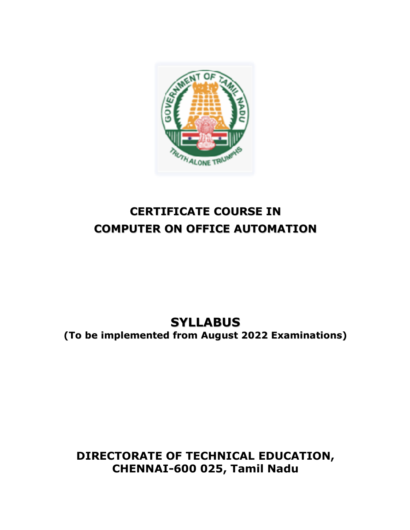

# **CERTIFICATE COURSE IN COMPUTER ON OFFICE AUTOMATION**

**SYLLABUS (To be implemented from August 2022 Examinations)**

# **DIRECTORATE OF TECHNICAL EDUCATION, CHENNAI-600 025, Tamil Nadu**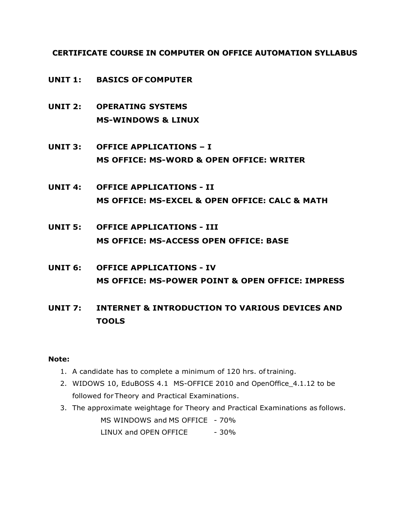**CERTIFICATE COURSE IN COMPUTER ON OFFICE AUTOMATION SYLLABUS**

- **UNIT 1: BASICS OF COMPUTER**
- **UNIT 2: OPERATING SYSTEMS MS-WINDOWS & LINUX**
- **UNIT 3: OFFICE APPLICATIONS – I MS OFFICE: MS-WORD & OPEN OFFICE: WRITER**
- **UNIT 4: OFFICE APPLICATIONS - II MS OFFICE: MS-EXCEL & OPEN OFFICE: CALC & MATH**
- **UNIT 5: OFFICE APPLICATIONS - III MS OFFICE: MS-ACCESS OPEN OFFICE: BASE**
- **UNIT 6: OFFICE APPLICATIONS - IV MS OFFICE: MS-POWER POINT & OPEN OFFICE: IMPRESS**
- **UNIT 7: INTERNET & INTRODUCTION TO VARIOUS DEVICES AND TOOLS**

## **Note:**

- 1. A candidate has to complete a minimum of 120 hrs. oftraining.
- 2. WIDOWS 10, EduBOSS 4.1 MS-OFFICE 2010 and OpenOffice\_4.1.12 to be followed forTheory and Practical Examinations.
- 3. The approximate weightage for Theory and Practical Examinations as follows. MS WINDOWS and MS OFFICE - 70% LINUX and OPEN OFFICE - 30%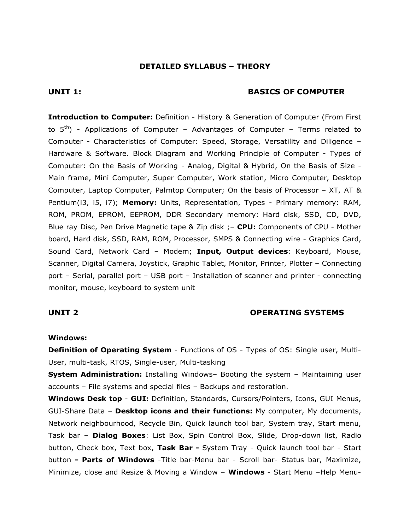### **DETAILED SYLLABUS – THEORY**

#### **UNIT 1: BASICS OF COMPUTER**

**Introduction to Computer:** Definition - History & Generation of Computer (From First to  $5<sup>th</sup>$  - Applications of Computer – Advantages of Computer – Terms related to Computer - Characteristics of Computer: Speed, Storage, Versatility and Diligence – Hardware & Software. Block Diagram and Working Principle of Computer - Types of Computer: On the Basis of Working - Analog, Digital & Hybrid, On the Basis of Size - Main frame, Mini Computer, Super Computer, Work station, Micro Computer, Desktop Computer, Laptop Computer, Palmtop Computer; On the basis of Processor – XT, AT & Pentium(i3, i5, i7); **Memory:** Units, Representation, Types - Primary memory: RAM, ROM, PROM, EPROM, EEPROM, DDR Secondary memory: Hard disk, SSD, CD, DVD, Blue ray Disc, Pen Drive Magnetic tape & Zip disk ;– **CPU:** Components of CPU - Mother board, Hard disk, SSD, RAM, ROM, Processor, SMPS & Connecting wire - Graphics Card, Sound Card, Network Card – Modem; **Input, Output devices**: Keyboard, Mouse, Scanner, Digital Camera, Joystick, Graphic Tablet, Monitor, Printer, Plotter – Connecting port – Serial, parallel port – USB port – Installation of scanner and printer - connecting monitor, mouse, keyboard to system unit

#### **UNIT 2 OPERATING SYSTEMS**

#### **Windows:**

**Definition of Operating System** - Functions of OS - Types of OS: Single user, Multi-User, multi-task, RTOS, Single-user, Multi-tasking

**System Administration:** Installing Windows– Booting the system – Maintaining user accounts – File systems and special files – Backups and restoration.

**Windows Desk top** - **GUI:** Definition, Standards, Cursors/Pointers, Icons, GUI Menus, GUI-Share Data – **Desktop icons and their functions:** My computer, My documents, Network neighbourhood, Recycle Bin, Quick launch tool bar, System tray, Start menu, Task bar – **Dialog Boxes**: List Box, Spin Control Box, Slide, Drop-down list, Radio button, Check box, Text box, **Task Bar -** System Tray - Quick launch tool bar - Start button **- Parts of Windows** -Title bar-Menu bar - Scroll bar- Status bar, Maximize, Minimize, close and Resize & Moving a Window – **Windows** - Start Menu –Help Menu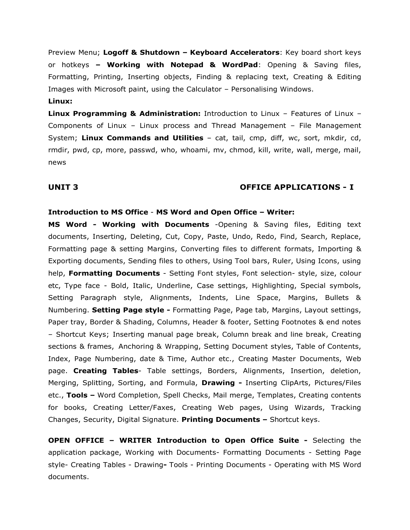Preview Menu; **Logoff & Shutdown – Keyboard Accelerators**: Key board short keys or hotkeys **– Working with Notepad & WordPad**: Opening & Saving files, Formatting, Printing, Inserting objects, Finding & replacing text, Creating & Editing Images with Microsoft paint, using the Calculator – Personalising Windows.

#### **Linux:**

**Linux Programming & Administration:** Introduction to Linux – Features of Linux – Components of Linux – Linux process and Thread Management – File Management System; **Linux Commands and Utilities** – cat, tail, cmp, diff, wc, sort, mkdir, cd, rmdir, pwd, cp, more, passwd, who, whoami, mv, chmod, kill, write, wall, merge, mail, news

#### **UNIT 3 OFFICE APPLICATIONS - I**

#### **Introduction to MS Office** - **MS Word and Open Office – Writer:**

**MS Word - Working with Documents** -Opening & Saving files, Editing text documents, Inserting, Deleting, Cut, Copy, Paste, Undo, Redo, Find, Search, Replace, Formatting page & setting Margins, Converting files to different formats, Importing & Exporting documents, Sending files to others, Using Tool bars, Ruler, Using Icons, using help, **Formatting Documents** - Setting Font styles, Font selection- style, size, colour etc, Type face - Bold, Italic, Underline, Case settings, Highlighting, Special symbols, Setting Paragraph style, Alignments, Indents, Line Space, Margins, Bullets & Numbering. **Setting Page style -** Formatting Page, Page tab, Margins, Layout settings, Paper tray, Border & Shading, Columns, Header & footer, Setting Footnotes & end notes – Shortcut Keys; Inserting manual page break, Column break and line break, Creating sections & frames, Anchoring & Wrapping, Setting Document styles, Table of Contents, Index, Page Numbering, date & Time, Author etc., Creating Master Documents, Web page. **Creating Tables**- Table settings, Borders, Alignments, Insertion, deletion, Merging, Splitting, Sorting, and Formula, **Drawing -** Inserting ClipArts, Pictures/Files etc., **Tools –** Word Completion, Spell Checks, Mail merge, Templates, Creating contents for books, Creating Letter/Faxes, Creating Web pages, Using Wizards, Tracking Changes, Security, Digital Signature. **Printing Documents –** Shortcut keys.

**OPEN OFFICE – WRITER Introduction to Open Office Suite -** Selecting the application package, Working with Documents- Formatting Documents - Setting Page style- Creating Tables - Drawing**-** Tools - Printing Documents - Operating with MS Word documents.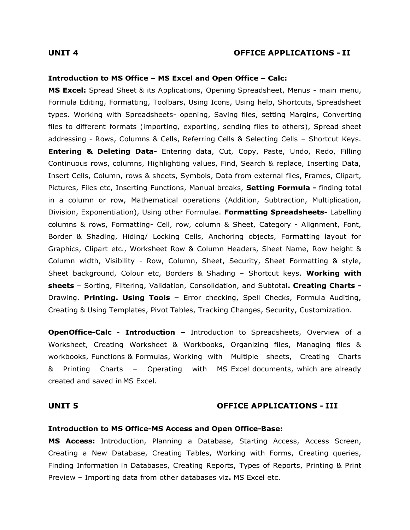#### **UNIT 4 OFFICE APPLICATIONS - II**

#### **Introduction to MS Office – MS Excel and Open Office – Calc:**

**MS Excel:** Spread Sheet & its Applications, Opening Spreadsheet, Menus - main menu, Formula Editing, Formatting, Toolbars, Using Icons, Using help, Shortcuts, Spreadsheet types. Working with Spreadsheets- opening, Saving files, setting Margins, Converting files to different formats (importing, exporting, sending files to others), Spread sheet addressing - Rows, Columns & Cells, Referring Cells & Selecting Cells – Shortcut Keys. **Entering & Deleting Data-** Entering data, Cut, Copy, Paste, Undo, Redo, Filling Continuous rows, columns, Highlighting values, Find, Search & replace, Inserting Data, Insert Cells, Column, rows & sheets, Symbols, Data from external files, Frames, Clipart, Pictures, Files etc, Inserting Functions, Manual breaks, **Setting Formula -** finding total in a column or row, Mathematical operations (Addition, Subtraction, Multiplication, Division, Exponentiation), Using other Formulae. **Formatting Spreadsheets-** Labelling columns & rows, Formatting- Cell, row, column & Sheet, Category - Alignment, Font, Border & Shading, Hiding/ Locking Cells, Anchoring objects, Formatting layout for Graphics, Clipart etc., Worksheet Row & Column Headers, Sheet Name, Row height & Column width, Visibility - Row, Column, Sheet, Security, Sheet Formatting & style, Sheet background, Colour etc, Borders & Shading – Shortcut keys. **Working with sheets** – Sorting, Filtering, Validation, Consolidation, and Subtotal**. Creating Charts -** Drawing. **Printing. Using Tools –** Error checking, Spell Checks, Formula Auditing, Creating & Using Templates, Pivot Tables, Tracking Changes, Security, Customization.

**OpenOffice-Calc** - **Introduction –** Introduction to Spreadsheets, Overview of a Worksheet, Creating Worksheet & Workbooks, Organizing files, Managing files & workbooks, Functions & Formulas, Working with Multiple sheets, Creating Charts & Printing Charts – Operating with MS Excel documents, which are already created and saved in MS Excel.

#### **UNIT 5 OFFICE APPLICATIONS - III**

#### **Introduction to MS Office-MS Access and Open Office-Base:**

**MS Access:** Introduction, Planning a Database, Starting Access, Access Screen, Creating a New Database, Creating Tables, Working with Forms, Creating queries, Finding Information in Databases, Creating Reports, Types of Reports, Printing & Print Preview – Importing data from other databases viz**.** MS Excel etc.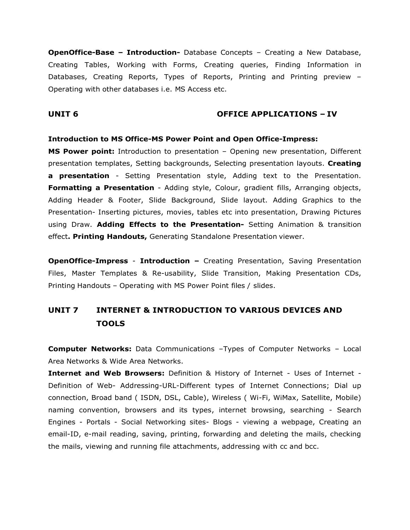**OpenOffice-Base – Introduction-** Database Concepts – Creating a New Database, Creating Tables, Working with Forms, Creating queries, Finding Information in Databases, Creating Reports, Types of Reports, Printing and Printing preview – Operating with other databases i.e. MS Access etc.

### **UNIT 6 OFFICE APPLICATIONS – IV**

#### **Introduction to MS Office-MS Power Point and Open Office-Impress:**

**MS Power point:** Introduction to presentation – Opening new presentation, Different presentation templates, Setting backgrounds, Selecting presentation layouts. **Creating a presentation** - Setting Presentation style, Adding text to the Presentation. **Formatting a Presentation** - Adding style, Colour, gradient fills, Arranging objects, Adding Header & Footer, Slide Background, Slide layout. Adding Graphics to the Presentation- Inserting pictures, movies, tables etc into presentation, Drawing Pictures using Draw. **Adding Effects to the Presentation-** Setting Animation & transition effect**. Printing Handouts,** Generating Standalone Presentation viewer.

**OpenOffice-Impress** - **Introduction –** Creating Presentation, Saving Presentation Files, Master Templates & Re-usability, Slide Transition, Making Presentation CDs, Printing Handouts – Operating with MS Power Point files / slides.

# **UNIT 7 INTERNET & INTRODUCTION TO VARIOUS DEVICES AND TOOLS**

**Computer Networks:** Data Communications –Types of Computer Networks – Local Area Networks & Wide Area Networks.

**Internet and Web Browsers:** Definition & History of Internet - Uses of Internet - Definition of Web- Addressing-URL-Different types of Internet Connections; Dial up connection, Broad band ( ISDN, DSL, Cable), Wireless ( Wi-Fi, WiMax, Satellite, Mobile) naming convention, browsers and its types, internet browsing, searching - Search Engines - Portals - Social Networking sites- Blogs - viewing a webpage, Creating an email-ID, e-mail reading, saving, printing, forwarding and deleting the mails, checking the mails, viewing and running file attachments, addressing with cc and bcc.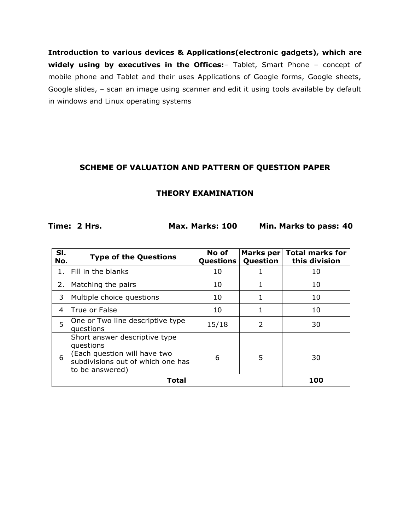**Introduction to various devices & Applications(electronic gadgets), which are widely using by executives in the Offices:**– Tablet, Smart Phone – concept of mobile phone and Tablet and their uses Applications of Google forms, Google sheets, Google slides, – scan an image using scanner and edit it using tools available by default in windows and Linux operating systems

# **SCHEME OF VALUATION AND PATTERN OF QUESTION PAPER**

## **THEORY EXAMINATION**

**Time: 2 Hrs. Max. Marks: 100 Min. Marks to pass: 40**

| SI.<br>No. | <b>Type of the Questions</b>                                                                                                       | No of<br><b>Questions</b> | Question | Marks per Total marks for<br>this division |  |
|------------|------------------------------------------------------------------------------------------------------------------------------------|---------------------------|----------|--------------------------------------------|--|
| 1.         | Fill in the blanks                                                                                                                 | 10                        |          | 10                                         |  |
| 2.         | Matching the pairs                                                                                                                 | 10                        |          | 10                                         |  |
| 3          | Multiple choice questions                                                                                                          | 10                        | 1        | 10                                         |  |
| 4          | lTrue or False                                                                                                                     | 10                        | 1        | 10                                         |  |
| 5          | One or Two line descriptive type<br>questions                                                                                      | 15/18                     | 2        | 30                                         |  |
| 6          | Short answer descriptive type<br>questions<br>(Each question will have two<br>subdivisions out of which one has<br>to be answered) | 6                         | 5        | 30                                         |  |
|            | Total                                                                                                                              |                           |          | 100                                        |  |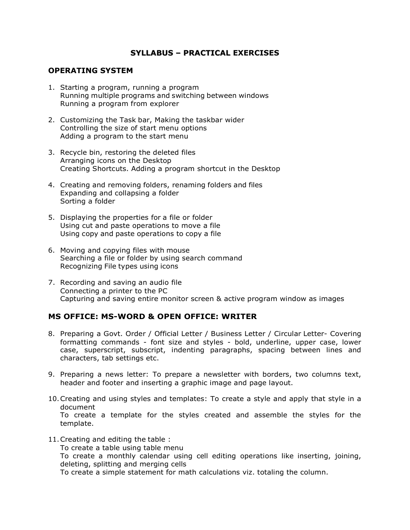## **SYLLABUS – PRACTICAL EXERCISES**

### **OPERATING SYSTEM**

- 1. Starting a program, running a program Running multiple programs and switching between windows Running a program from explorer
- 2. Customizing the Task bar, Making the taskbar wider Controlling the size of start menu options Adding a program to the start menu
- 3. Recycle bin, restoring the deleted files Arranging icons on the Desktop Creating Shortcuts. Adding a program shortcut in the Desktop
- 4. Creating and removing folders, renaming folders and files Expanding and collapsing a folder Sorting a folder
- 5. Displaying the properties for a file or folder Using cut and paste operations to move a file Using copy and paste operations to copy a file
- 6. Moving and copying files with mouse Searching a file or folder by using search command Recognizing File types using icons
- 7. Recording and saving an audio file Connecting a printer to the PC Capturing and saving entire monitor screen & active program window as images

# **MS OFFICE: MS-WORD & OPEN OFFICE: WRITER**

- 8. Preparing a Govt. Order / Official Letter / Business Letter / Circular Letter- Covering formatting commands - font size and styles - bold, underline, upper case, lower case, superscript, subscript, indenting paragraphs, spacing between lines and characters, tab settings etc.
- 9. Preparing a news letter: To prepare a newsletter with borders, two columns text, header and footer and inserting a graphic image and page layout.
- 10.Creating and using styles and templates: To create a style and apply that style in a document To create a template for the styles created and assemble the styles for the template.
- 11.Creating and editing the table : To create a table using table menu To create a monthly calendar using cell editing operations like inserting, joining, deleting, splitting and merging cells To create a simple statement for math calculations viz. totaling the column.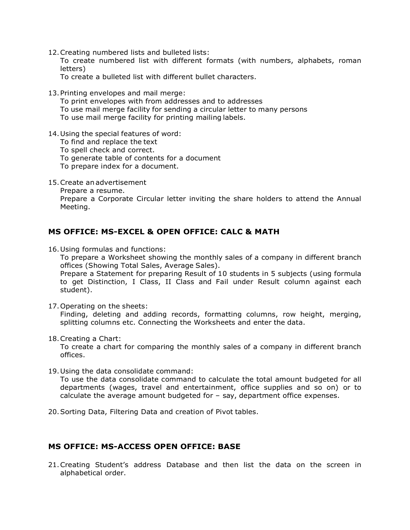12.Creating numbered lists and bulleted lists:

To create numbered list with different formats (with numbers, alphabets, roman letters)

To create a bulleted list with different bullet characters.

13.Printing envelopes and mail merge:

To print envelopes with from addresses and to addresses To use mail merge facility for sending a circular letter to many persons

To use mail merge facility for printing mailing labels.

14.Using the special features of word:

To find and replace the text

To spell check and correct.

To generate table of contents for a document

To prepare index for a document.

15.Create anadvertisement

Prepare a resume.

Prepare a Corporate Circular letter inviting the share holders to attend the Annual Meeting.

## **MS OFFICE: MS-EXCEL & OPEN OFFICE: CALC & MATH**

16.Using formulas and functions:

To prepare a Worksheet showing the monthly sales of a company in different branch offices (Showing Total Sales, Average Sales).

Prepare a Statement for preparing Result of 10 students in 5 subjects (using formula to get Distinction, I Class, II Class and Fail under Result column against each student).

17.Operating on the sheets:

Finding, deleting and adding records, formatting columns, row height, merging, splitting columns etc. Connecting the Worksheets and enter the data.

18.Creating a Chart:

To create a chart for comparing the monthly sales of a company in different branch offices.

19.Using the data consolidate command:

To use the data consolidate command to calculate the total amount budgeted for all departments (wages, travel and entertainment, office supplies and so on) or to calculate the average amount budgeted for – say, department office expenses.

20.Sorting Data, Filtering Data and creation of Pivot tables.

## **MS OFFICE: MS-ACCESS OPEN OFFICE: BASE**

21.Creating Student's address Database and then list the data on the screen in alphabetical order.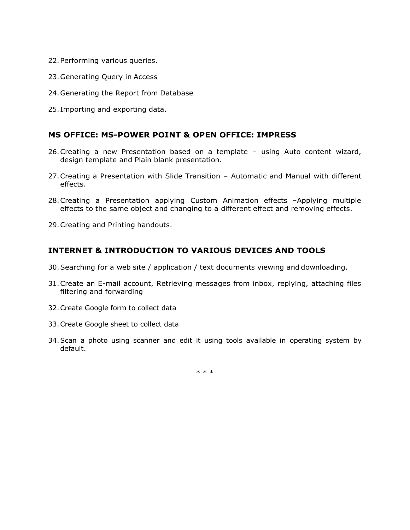- 22.Performing various queries.
- 23.Generating Query in Access
- 24.Generating the Report from Database
- 25. Importing and exporting data.

### **MS OFFICE: MS-POWER POINT & OPEN OFFICE: IMPRESS**

- 26.Creating a new Presentation based on a template using Auto content wizard, design template and Plain blank presentation.
- 27.Creating a Presentation with Slide Transition Automatic and Manual with different effects.
- 28.Creating a Presentation applying Custom Animation effects –Applying multiple effects to the same object and changing to a different effect and removing effects.
- 29.Creating and Printing handouts.

## **INTERNET & INTRODUCTION TO VARIOUS DEVICES AND TOOLS**

- 30.Searching for a web site / application / text documents viewing and downloading.
- 31.Create an E-mail account, Retrieving messages from inbox, replying, attaching files filtering and forwarding
- 32.Create Google form to collect data
- 33.Create Google sheet to collect data
- 34.Scan a photo using scanner and edit it using tools available in operating system by default.

\* \* \*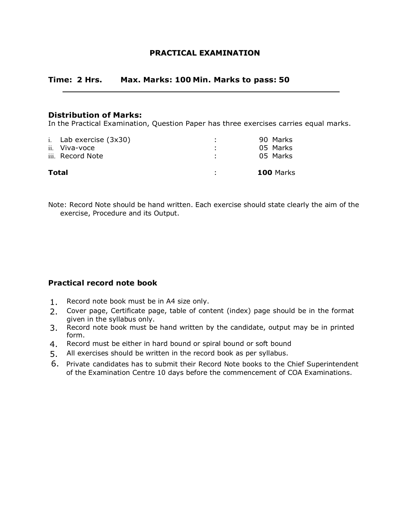## **PRACTICAL EXAMINATION**

## **Time: 2 Hrs. Max. Marks: 100 Min. Marks to pass: 50**

### **Distribution of Marks:**

In the Practical Examination, Question Paper has three exercises carries equal marks.

| i. Lab exercise $(3x30)$<br>ii. Viva-voce<br>iii. Record Note | 90 Marks<br>05 Marks<br>05 Marks |
|---------------------------------------------------------------|----------------------------------|
| <b>Total</b>                                                  | <b>100 Marks</b>                 |

Note: Record Note should be hand written. Each exercise should state clearly the aim of the exercise, Procedure and its Output.

## **Practical record note book**

- 1. Record note book must be in A4 size only.
- 2. Cover page, Certificate page, table of content (index) page should be in the format given in the syllabus only.
- 3. Record note book must be hand written by the candidate, output may be in printed form.
- 4. Record must be either in hard bound or spiral bound or soft bound
- 5. All exercises should be written in the record book as per syllabus.
- 6. Private candidates has to submit their Record Note books to the Chief Superintendent of the Examination Centre 10 days before the commencement of COA Examinations.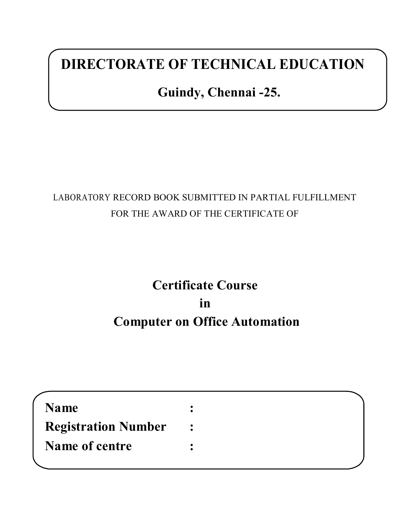# **DIRECTORATE OF TECHNICAL EDUCATION**

# **Guindy, Chennai -25.**

# LABORATORY RECORD BOOK SUBMITTED IN PARTIAL FULFILLMENT FOR THE AWARD OF THE CERTIFICATE OF

# **Certificate Course in Computer on Office Automation**

| <b>Name</b>                |                  |  |
|----------------------------|------------------|--|
| <b>Registration Number</b> | $\ddot{\bullet}$ |  |
| Name of centre             |                  |  |
|                            |                  |  |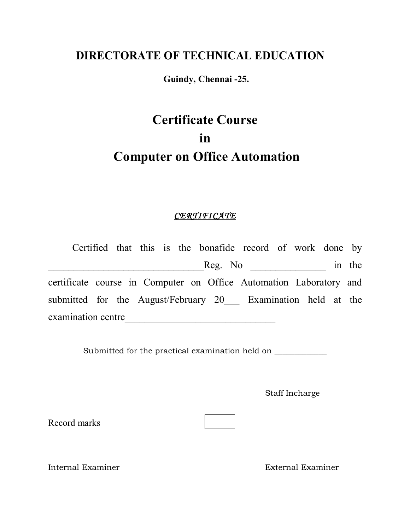# **DIRECTORATE OF TECHNICAL EDUCATION**

**Guindy, Chennai -25.**

# **Certificate Course in Computer on Office Automation**

# *CERTIFICATE*

Certified that this is the bonafide record of work done by example of  $\text{Reg. No}$  in the certificate course in Computer on Office Automation Laboratory and submitted for the August/February 20 Examination held at the examination centre\_\_\_\_\_\_\_\_\_\_\_\_\_\_\_\_\_\_\_\_\_\_\_\_\_\_\_\_\_\_

Submitted for the practical examination held on \_\_\_\_\_\_\_\_\_\_\_\_\_\_\_\_\_\_\_\_\_\_\_\_\_\_\_\_\_\_\_\_

Staff Incharge

Record marks

Internal Examiner External Examiner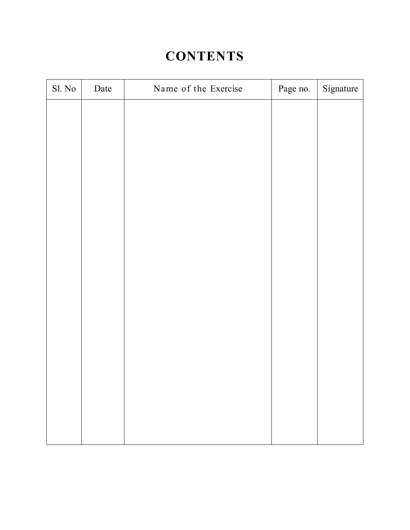# **CONTENTS**

| Date | Name of the Exercise | Page no. | Signature |
|------|----------------------|----------|-----------|
|      |                      |          |           |
|      |                      |          |           |
|      |                      |          |           |
|      |                      |          |           |
|      |                      |          |           |
|      |                      |          |           |
|      |                      |          |           |
|      |                      |          |           |
|      |                      |          |           |
|      |                      |          |           |
|      |                      |          |           |
|      |                      |          |           |
|      |                      |          |           |
|      |                      |          |           |
|      |                      |          |           |
|      |                      |          |           |
|      |                      |          |           |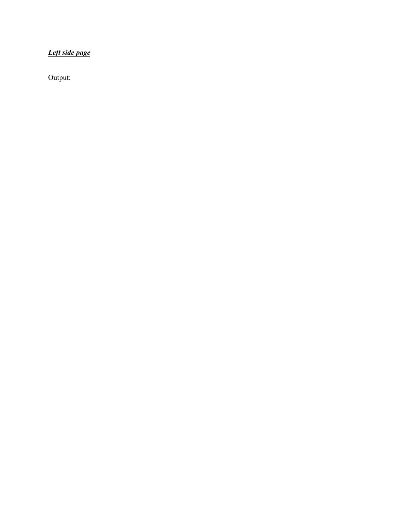# *Left side page*

Output: